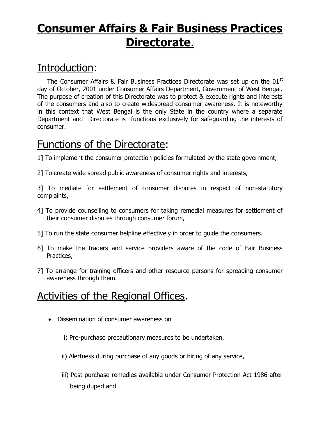## **Consumer Affairs & Fair Business Practices Directorate**.

## Introduction: Ī

The Consumer Affairs & Fair Business Practices Directorate was set up on the  $01<sup>st</sup>$ day of October, 2001 under Consumer Affairs Department, Government of West Bengal. The purpose of creation of this Directorate was to protect & execute rights and interests of the consumers and also to create widespread consumer awareness. It is noteworthy in this context that West Bengal is the only State in the country where a separate Department and Directorate is functions exclusively for safeguarding the interests of consumer.

## Functions of the Directorate:

1] To implement the consumer protection policies formulated by the state government,

2] To create wide spread public awareness of consumer rights and interests,

3] To mediate for settlement of consumer disputes in respect of non-statutory complaints,

- 4] To provide counselling to consumers for taking remedial measures for settlement of their consumer disputes through consumer forum,
- 5] To run the state consumer helpline effectively in order to guide the consumers.
- 6] To make the traders and service providers aware of the code of Fair Business Practices,
- 7] To arrange for training officers and other resource persons for spreading consumer awareness through them.

## Activities of the Regional Offices.

- Dissemination of consumer awareness on
	- i) Pre-purchase precautionary measures to be undertaken,
	- ii) Alertness during purchase of any goods or hiring of any service,
	- iii) Post-purchase remedies available under Consumer Protection Act 1986 after being duped and